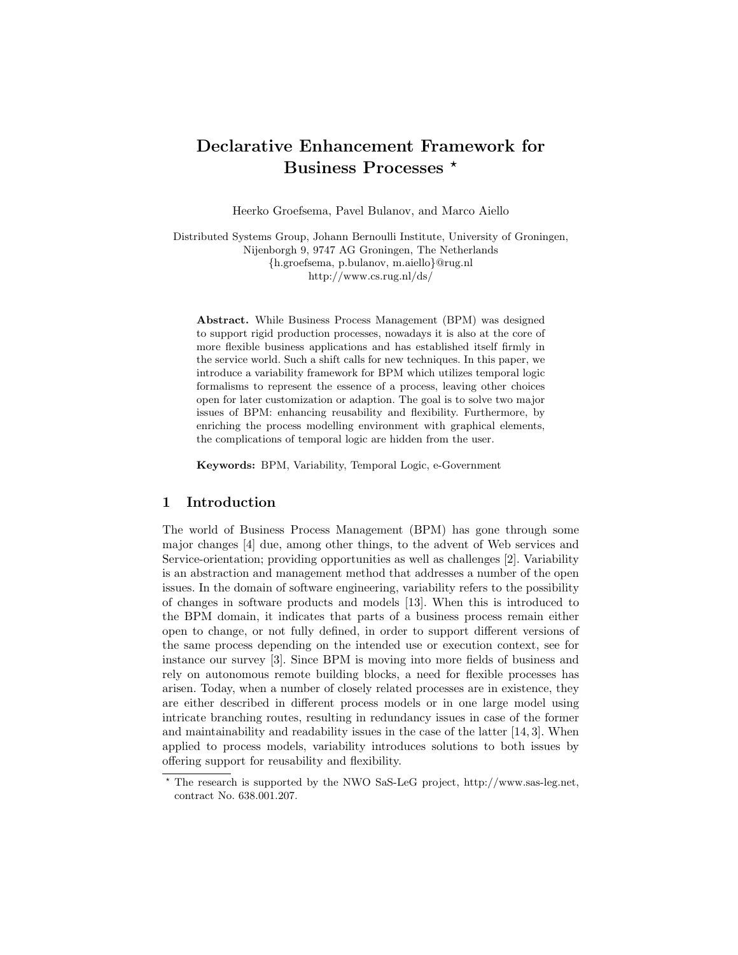# Declarative Enhancement Framework for Business Processes \*

Heerko Groefsema, Pavel Bulanov, and Marco Aiello

Distributed Systems Group, Johann Bernoulli Institute, University of Groningen, Nijenborgh 9, 9747 AG Groningen, The Netherlands {h.groefsema, p.bulanov, m.aiello}@rug.nl http://www.cs.rug.nl/ds/

Abstract. While Business Process Management (BPM) was designed to support rigid production processes, nowadays it is also at the core of more flexible business applications and has established itself firmly in the service world. Such a shift calls for new techniques. In this paper, we introduce a variability framework for BPM which utilizes temporal logic formalisms to represent the essence of a process, leaving other choices open for later customization or adaption. The goal is to solve two major issues of BPM: enhancing reusability and flexibility. Furthermore, by enriching the process modelling environment with graphical elements, the complications of temporal logic are hidden from the user.

Keywords: BPM, Variability, Temporal Logic, e-Government

## 1 Introduction

The world of Business Process Management (BPM) has gone through some major changes [4] due, among other things, to the advent of Web services and Service-orientation; providing opportunities as well as challenges [2]. Variability is an abstraction and management method that addresses a number of the open issues. In the domain of software engineering, variability refers to the possibility of changes in software products and models [13]. When this is introduced to the BPM domain, it indicates that parts of a business process remain either open to change, or not fully defined, in order to support different versions of the same process depending on the intended use or execution context, see for instance our survey [3]. Since BPM is moving into more fields of business and rely on autonomous remote building blocks, a need for flexible processes has arisen. Today, when a number of closely related processes are in existence, they are either described in different process models or in one large model using intricate branching routes, resulting in redundancy issues in case of the former and maintainability and readability issues in the case of the latter [14, 3]. When applied to process models, variability introduces solutions to both issues by offering support for reusability and flexibility.

<sup>?</sup> The research is supported by the NWO SaS-LeG project, http://www.sas-leg.net, contract No. 638.001.207.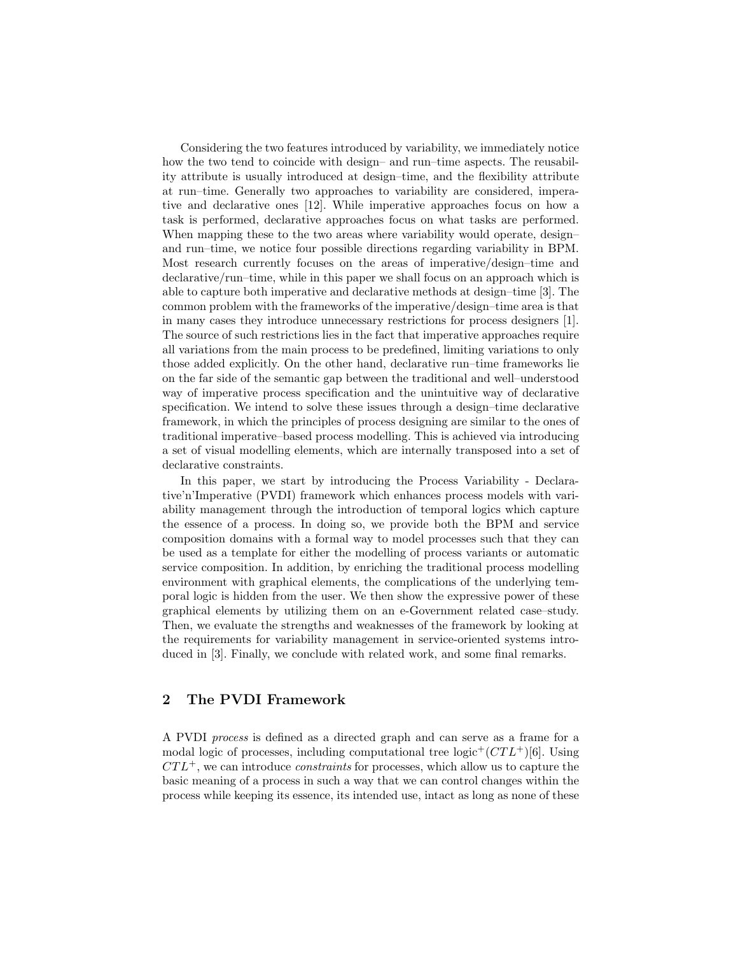Considering the two features introduced by variability, we immediately notice how the two tend to coincide with design– and run–time aspects. The reusability attribute is usually introduced at design–time, and the flexibility attribute at run–time. Generally two approaches to variability are considered, imperative and declarative ones [12]. While imperative approaches focus on how a task is performed, declarative approaches focus on what tasks are performed. When mapping these to the two areas where variability would operate, design– and run–time, we notice four possible directions regarding variability in BPM. Most research currently focuses on the areas of imperative/design–time and declarative/run–time, while in this paper we shall focus on an approach which is able to capture both imperative and declarative methods at design–time [3]. The common problem with the frameworks of the imperative/design–time area is that in many cases they introduce unnecessary restrictions for process designers [1]. The source of such restrictions lies in the fact that imperative approaches require all variations from the main process to be predefined, limiting variations to only those added explicitly. On the other hand, declarative run–time frameworks lie on the far side of the semantic gap between the traditional and well–understood way of imperative process specification and the unintuitive way of declarative specification. We intend to solve these issues through a design–time declarative framework, in which the principles of process designing are similar to the ones of traditional imperative–based process modelling. This is achieved via introducing a set of visual modelling elements, which are internally transposed into a set of declarative constraints.

In this paper, we start by introducing the Process Variability - Declarative'n'Imperative (PVDI) framework which enhances process models with variability management through the introduction of temporal logics which capture the essence of a process. In doing so, we provide both the BPM and service composition domains with a formal way to model processes such that they can be used as a template for either the modelling of process variants or automatic service composition. In addition, by enriching the traditional process modelling environment with graphical elements, the complications of the underlying temporal logic is hidden from the user. We then show the expressive power of these graphical elements by utilizing them on an e-Government related case–study. Then, we evaluate the strengths and weaknesses of the framework by looking at the requirements for variability management in service-oriented systems introduced in [3]. Finally, we conclude with related work, and some final remarks.

## 2 The PVDI Framework

A PVDI process is defined as a directed graph and can serve as a frame for a modal logic of processes, including computational tree logic<sup>+</sup>( $CTL$ <sup>+</sup>)[6]. Using  $CTL^+$ , we can introduce *constraints* for processes, which allow us to capture the basic meaning of a process in such a way that we can control changes within the process while keeping its essence, its intended use, intact as long as none of these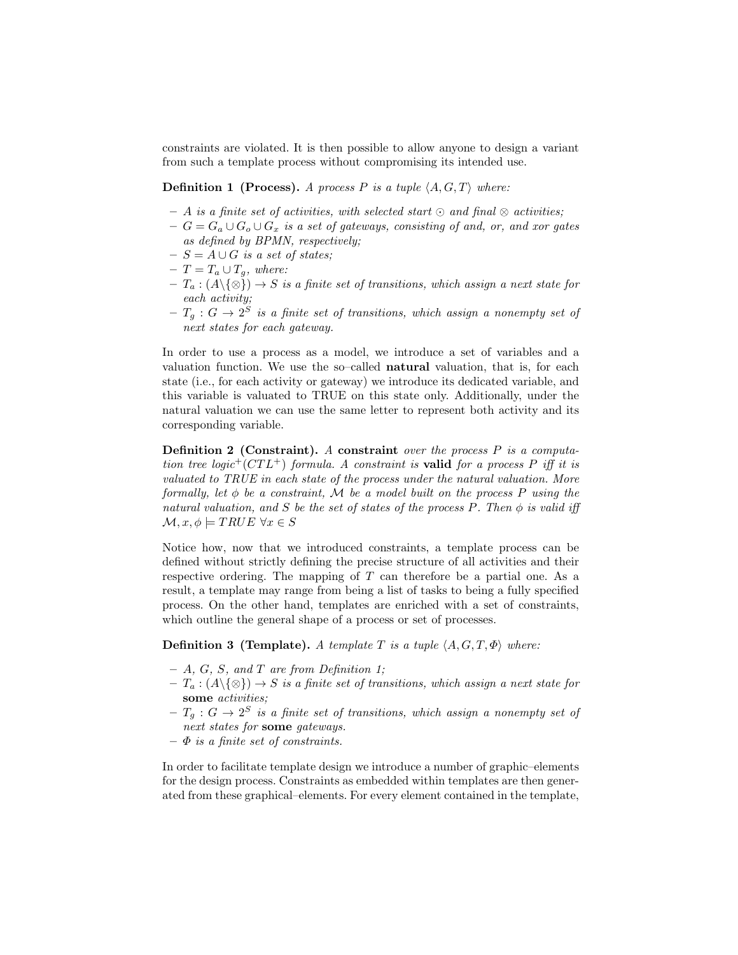constraints are violated. It is then possible to allow anyone to design a variant from such a template process without compromising its intended use.

**Definition 1 (Process).** A process P is a tuple  $\langle A, G, T \rangle$  where:

- $A$  is a finite set of activities, with selected start ⊙ and final ⊗ activities;
- $-G = G_a \cup G_o \cup G_x$  is a set of gateways, consisting of and, or, and xor gates as defined by BPMN, respectively;
- $S = A \cup G$  is a set of states;
- $-T = T_a \cup T_a$ , where:
- $-I_a: (A \setminus {\{\otimes\}}) \to S$  is a finite set of transitions, which assign a next state for each activity;
- $T_g: G \rightarrow 2^S$  is a finite set of transitions, which assign a nonempty set of next states for each gateway.

In order to use a process as a model, we introduce a set of variables and a valuation function. We use the so–called natural valuation, that is, for each state (i.e., for each activity or gateway) we introduce its dedicated variable, and this variable is valuated to TRUE on this state only. Additionally, under the natural valuation we can use the same letter to represent both activity and its corresponding variable.

**Definition 2 (Constraint).** A constraint over the process  $P$  is a computation tree logic<sup>+</sup>(CTL<sup>+</sup>) formula. A constraint is **valid** for a process P iff it is valuated to TRUE in each state of the process under the natural valuation. More formally, let  $\phi$  be a constraint, M be a model built on the process P using the natural valuation, and S be the set of states of the process P. Then  $\phi$  is valid iff  $\mathcal{M}, x, \phi \models TRUE \; \forall x \in S$ 

Notice how, now that we introduced constraints, a template process can be defined without strictly defining the precise structure of all activities and their respective ordering. The mapping of  $T$  can therefore be a partial one. As a result, a template may range from being a list of tasks to being a fully specified process. On the other hand, templates are enriched with a set of constraints, which outline the general shape of a process or set of processes.

**Definition 3 (Template).** A template T is a tuple  $\langle A, G, T, \Phi \rangle$  where:

- $A, G, S, and T are from Definition 1;$
- $T_a : (A \setminus \{ \otimes \}) \to S$  is a finite set of transitions, which assign a next state for some *activities*;
- $T_g: G \rightarrow 2^S$  is a finite set of transitions, which assign a nonempty set of next states for some gateways.
- $\Phi$  is a finite set of constraints.

In order to facilitate template design we introduce a number of graphic–elements for the design process. Constraints as embedded within templates are then generated from these graphical–elements. For every element contained in the template,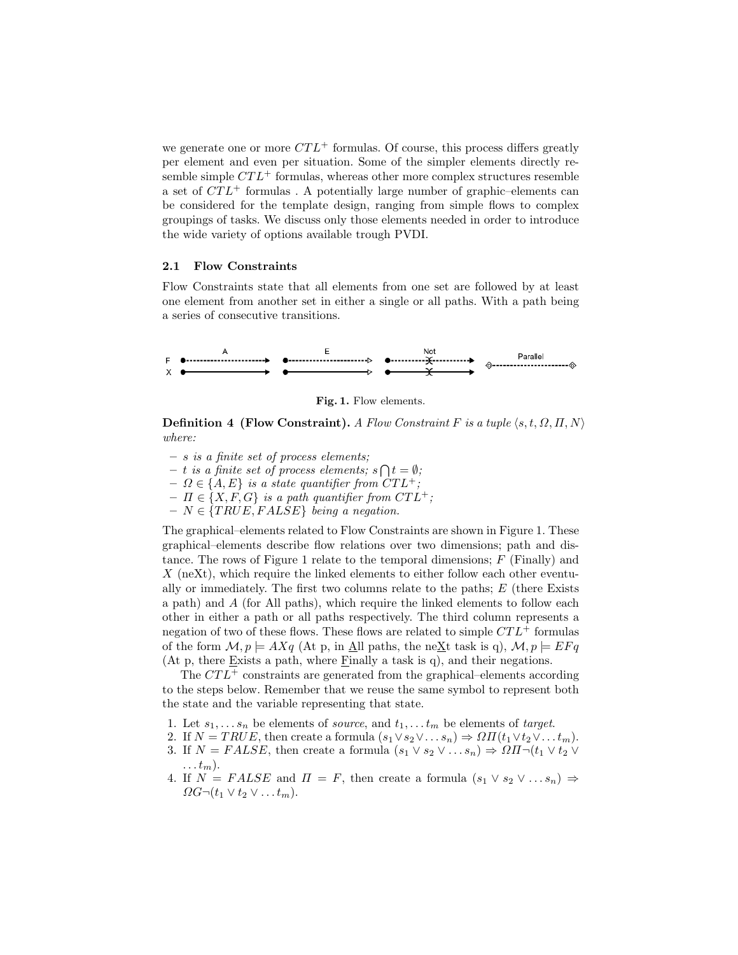we generate one or more  $CTL^+$  formulas. Of course, this process differs greatly per element and even per situation. Some of the simpler elements directly resemble simple  $CTL^+$  formulas, whereas other more complex structures resemble a set of  $CTL^+$  formulas. A potentially large number of graphic–elements can be considered for the template design, ranging from simple flows to complex groupings of tasks. We discuss only those elements needed in order to introduce the wide variety of options available trough PVDI.

#### 2.1 Flow Constraints

Flow Constraints state that all elements from one set are followed by at least one element from another set in either a single or all paths. With a path being a series of consecutive transitions.





**Definition 4 (Flow Constraint).** A Flow Constraint F is a tuple  $\langle s, t, \Omega, \Pi, N \rangle$ where:

- s is a finite set of process elements;
- $-t$  is a finite set of process elements;  $s \bigcap t = \emptyset$ ;
- $\Omega \in \{A, E\}$  is a state quantifier from  $CTL^+$ ;
- $-I\in\{X,F,G\}$  is a path quantifier from  $CTL^+$ ;
- $N \in \{TRUE, FALSE\}$  being a negation.

The graphical–elements related to Flow Constraints are shown in Figure 1. These graphical–elements describe flow relations over two dimensions; path and distance. The rows of Figure 1 relate to the temporal dimensions;  $F$  (Finally) and  $X$  (neXt), which require the linked elements to either follow each other eventually or immediately. The first two columns relate to the paths;  $E$  (there Exists a path) and A (for All paths), which require the linked elements to follow each other in either a path or all paths respectively. The third column represents a negation of two of these flows. These flows are related to simple  $CTL^+$  formulas of the form  $\mathcal{M}, p \models AXq$  (At p, in All paths, the neXt task is q),  $\mathcal{M}, p \models EFq$ (At p, there Exists a path, where Finally a task is q), and their negations.

The  $CTL^+$  constraints are generated from the graphical–elements according to the steps below. Remember that we reuse the same symbol to represent both the state and the variable representing that state.

- 1. Let  $s_1, \ldots s_n$  be elements of *source*, and  $t_1, \ldots t_m$  be elements of *target*.
- 2. If  $N = TRUE$ , then create a formula  $(s_1 \vee s_2 \vee \ldots s_n) \Rightarrow \Omega \Pi(t_1 \vee t_2 \vee \ldots t_m)$ .
- 3. If  $N = FALSE$ , then create a formula  $(s_1 \vee s_2 \vee \ldots s_n) \Rightarrow \Omega \Pi \neg (t_1 \vee t_2 \vee \ldots \vee t_n)$  $\ldots t_m$ ).
- 4. If  $N = FALSE$  and  $\Pi = F$ , then create a formula  $(s_1 \vee s_2 \vee \ldots s_n) \Rightarrow$  $\Omega G\neg (t_1\vee t_2\vee \ldots t_m).$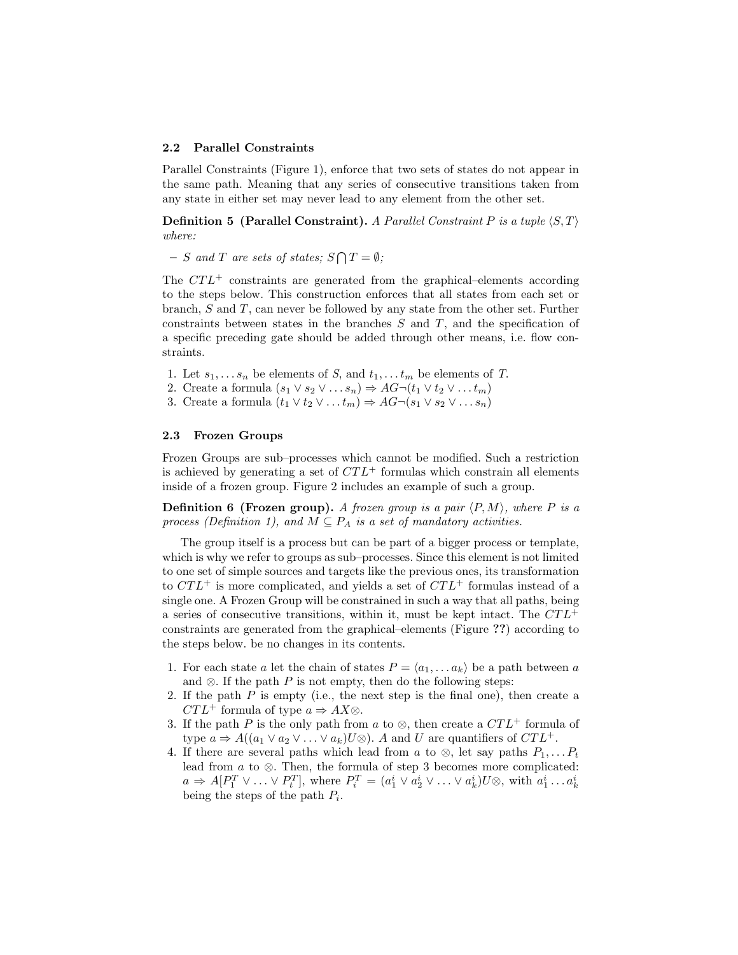#### 2.2 Parallel Constraints

Parallel Constraints (Figure 1), enforce that two sets of states do not appear in the same path. Meaning that any series of consecutive transitions taken from any state in either set may never lead to any element from the other set.

**Definition 5 (Parallel Constraint).** A Parallel Constraint P is a tuple  $\langle S, T \rangle$ where:

 $- S$  and T are sets of states;  $S \bigcap T = \emptyset$ ;

The  $CTL^+$  constraints are generated from the graphical–elements according to the steps below. This construction enforces that all states from each set or branch,  $S$  and  $T$ , can never be followed by any state from the other set. Further constraints between states in the branches  $S$  and  $T$ , and the specification of a specific preceding gate should be added through other means, i.e. flow constraints.

- 1. Let  $s_1, \ldots s_n$  be elements of S, and  $t_1, \ldots t_m$  be elements of T.
- 2. Create a formula  $(s_1 \vee s_2 \vee \ldots s_n) \Rightarrow AG \neg (t_1 \vee t_2 \vee \ldots t_m)$
- 3. Create a formula  $(t_1 \vee t_2 \vee \ldots t_m) \Rightarrow AG \neg (s_1 \vee s_2 \vee \ldots s_n)$

#### 2.3 Frozen Groups

Frozen Groups are sub–processes which cannot be modified. Such a restriction is achieved by generating a set of  $CTL^+$  formulas which constrain all elements inside of a frozen group. Figure 2 includes an example of such a group.

**Definition 6 (Frozen group).** A frozen group is a pair  $\langle P, M \rangle$ , where P is a process (Definition 1), and  $M \subseteq P_A$  is a set of mandatory activities.

The group itself is a process but can be part of a bigger process or template, which is why we refer to groups as sub–processes. Since this element is not limited to one set of simple sources and targets like the previous ones, its transformation to  $CTL^+$  is more complicated, and yields a set of  $CTL^+$  formulas instead of a single one. A Frozen Group will be constrained in such a way that all paths, being a series of consecutive transitions, within it, must be kept intact. The  $CTL^+$ constraints are generated from the graphical–elements (Figure ??) according to the steps below. be no changes in its contents.

- 1. For each state a let the chain of states  $P = \langle a_1, \ldots a_k \rangle$  be a path between a and  $\otimes$ . If the path P is not empty, then do the following steps:
- 2. If the path  $P$  is empty (i.e., the next step is the final one), then create a  $CTL^+$  formula of type  $a \Rightarrow AX\otimes$ .
- 3. If the path P is the only path from a to  $\otimes$ , then create a  $CTL^+$  formula of type  $a \Rightarrow A((a_1 \vee a_2 \vee \ldots \vee a_k)U\otimes)$ . A and U are quantifiers of  $CTL^+$ .
- 4. If there are several paths which lead from a to  $\otimes$ , let say paths  $P_1, \ldots, P_t$ lead from  $a$  to  $\otimes$ . Then, the formula of step 3 becomes more complicated:  $a \Rightarrow A[P_1^T \vee \ldots \vee P_t^T]$ , where  $P_i^T = (a_1^i \vee a_2^i \vee \ldots \vee a_k^i)U \otimes$ , with  $a_1^i \ldots a_k^i$ being the steps of the path  $P_i$ .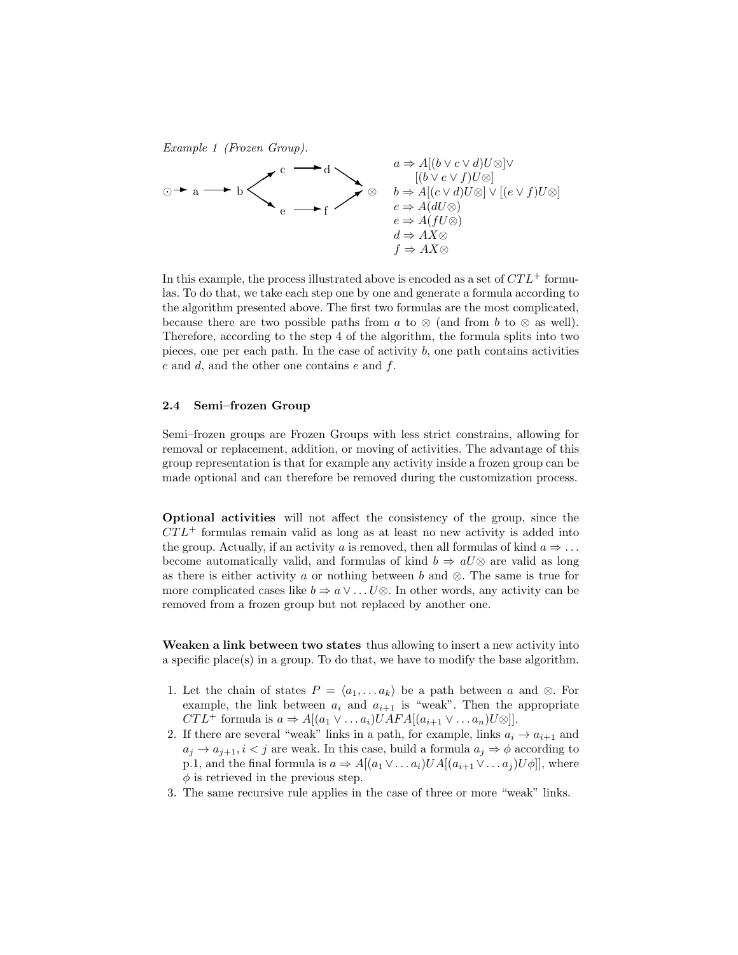Example 1 (Frozen Group).

 ✲ <sup>a</sup> ✲ <sup>b</sup> ✑ ✑✑✸ ◗◗◗s <sup>c</sup> ✲ <sup>e</sup> ✲ d <sup>f</sup> ✑ ✑✑✸ ◗◗◗s ⊗ a ⇒ A[(b ∨ c ∨ d)U⊗]∨ [(b ∨ e ∨ f)U⊗] b ⇒ A[(c ∨ d)U⊗] ∨ [(e ∨ f)U⊗] c ⇒ A(dU⊗) e ⇒ A(fU⊗) d ⇒ AX⊗ f ⇒ AX⊗

In this example, the process illustrated above is encoded as a set of  $CTL^+$  formulas. To do that, we take each step one by one and generate a formula according to the algorithm presented above. The first two formulas are the most complicated, because there are two possible paths from a to  $\otimes$  (and from b to  $\otimes$  as well). Therefore, according to the step 4 of the algorithm, the formula splits into two pieces, one per each path. In the case of activity b, one path contains activities  $c$  and  $d$ , and the other one contains  $e$  and  $f$ .

#### 2.4 Semi–frozen Group

Semi–frozen groups are Frozen Groups with less strict constrains, allowing for removal or replacement, addition, or moving of activities. The advantage of this group representation is that for example any activity inside a frozen group can be made optional and can therefore be removed during the customization process.

Optional activities will not affect the consistency of the group, since the  $CTL^+$  formulas remain valid as long as at least no new activity is added into the group. Actually, if an activity a is removed, then all formulas of kind  $a \Rightarrow \dots$ become automatically valid, and formulas of kind  $b \Rightarrow aU \otimes a$  are valid as long as there is either activity a or nothing between b and  $\otimes$ . The same is true for more complicated cases like  $b \Rightarrow a \vee ... U \otimes$ . In other words, any activity can be removed from a frozen group but not replaced by another one.

Weaken a link between two states thus allowing to insert a new activity into a specific place(s) in a group. To do that, we have to modify the base algorithm.

- 1. Let the chain of states  $P = \langle a_1, \ldots a_k \rangle$  be a path between a and ⊗. For example, the link between  $a_i$  and  $a_{i+1}$  is "weak". Then the appropriate  $CTL^+$  formula is  $a \Rightarrow A[(a_1 \vee \ldots a_i)UAFA[(a_{i+1} \vee \ldots a_n)U\otimes]].$
- 2. If there are several "weak" links in a path, for example, links  $a_i \rightarrow a_{i+1}$  and  $a_j \rightarrow a_{j+1}, i < j$  are weak. In this case, build a formula  $a_j \Rightarrow \phi$  according to p.1, and the final formula is  $a \Rightarrow A[(a_1 \vee \ldots a_i)UA[(a_{i+1} \vee \ldots a_i)U\phi]]$ , where  $\phi$  is retrieved in the previous step.
- 3. The same recursive rule applies in the case of three or more "weak" links.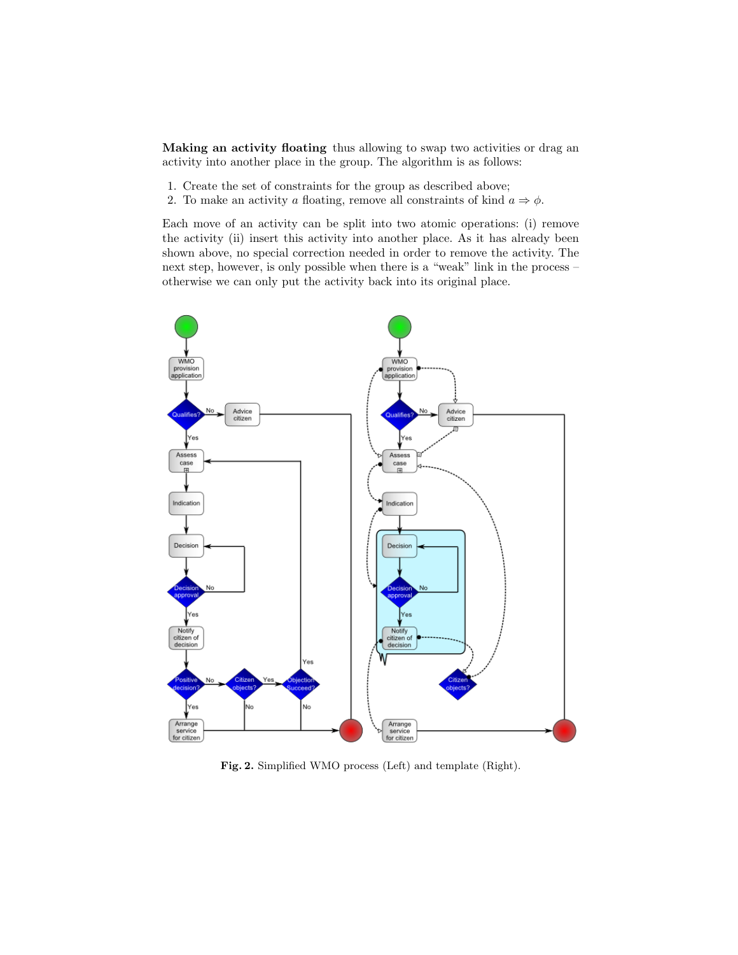Making an activity floating thus allowing to swap two activities or drag an activity into another place in the group. The algorithm is as follows:

- 1. Create the set of constraints for the group as described above;
- 2. To make an activity a floating, remove all constraints of kind  $a \Rightarrow \phi$ .

Each move of an activity can be split into two atomic operations: (i) remove the activity (ii) insert this activity into another place. As it has already been shown above, no special correction needed in order to remove the activity. The next step, however, is only possible when there is a "weak" link in the process – otherwise we can only put the activity back into its original place.



Fig. 2. Simplified WMO process (Left) and template (Right).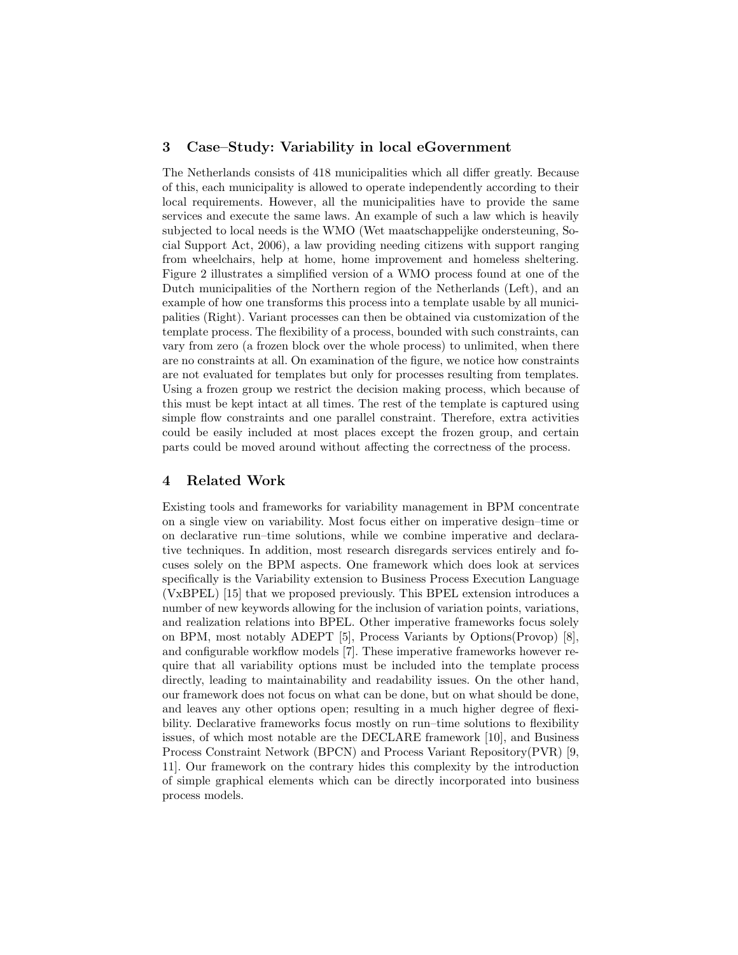## 3 Case–Study: Variability in local eGovernment

The Netherlands consists of 418 municipalities which all differ greatly. Because of this, each municipality is allowed to operate independently according to their local requirements. However, all the municipalities have to provide the same services and execute the same laws. An example of such a law which is heavily subjected to local needs is the WMO (Wet maatschappelijke ondersteuning, Social Support Act, 2006), a law providing needing citizens with support ranging from wheelchairs, help at home, home improvement and homeless sheltering. Figure 2 illustrates a simplified version of a WMO process found at one of the Dutch municipalities of the Northern region of the Netherlands (Left), and an example of how one transforms this process into a template usable by all municipalities (Right). Variant processes can then be obtained via customization of the template process. The flexibility of a process, bounded with such constraints, can vary from zero (a frozen block over the whole process) to unlimited, when there are no constraints at all. On examination of the figure, we notice how constraints are not evaluated for templates but only for processes resulting from templates. Using a frozen group we restrict the decision making process, which because of this must be kept intact at all times. The rest of the template is captured using simple flow constraints and one parallel constraint. Therefore, extra activities could be easily included at most places except the frozen group, and certain parts could be moved around without affecting the correctness of the process.

## 4 Related Work

Existing tools and frameworks for variability management in BPM concentrate on a single view on variability. Most focus either on imperative design–time or on declarative run–time solutions, while we combine imperative and declarative techniques. In addition, most research disregards services entirely and focuses solely on the BPM aspects. One framework which does look at services specifically is the Variability extension to Business Process Execution Language (VxBPEL) [15] that we proposed previously. This BPEL extension introduces a number of new keywords allowing for the inclusion of variation points, variations, and realization relations into BPEL. Other imperative frameworks focus solely on BPM, most notably ADEPT [5], Process Variants by Options(Provop) [8], and configurable workflow models [7]. These imperative frameworks however require that all variability options must be included into the template process directly, leading to maintainability and readability issues. On the other hand, our framework does not focus on what can be done, but on what should be done, and leaves any other options open; resulting in a much higher degree of flexibility. Declarative frameworks focus mostly on run–time solutions to flexibility issues, of which most notable are the DECLARE framework [10], and Business Process Constraint Network (BPCN) and Process Variant Repository(PVR) [9, 11]. Our framework on the contrary hides this complexity by the introduction of simple graphical elements which can be directly incorporated into business process models.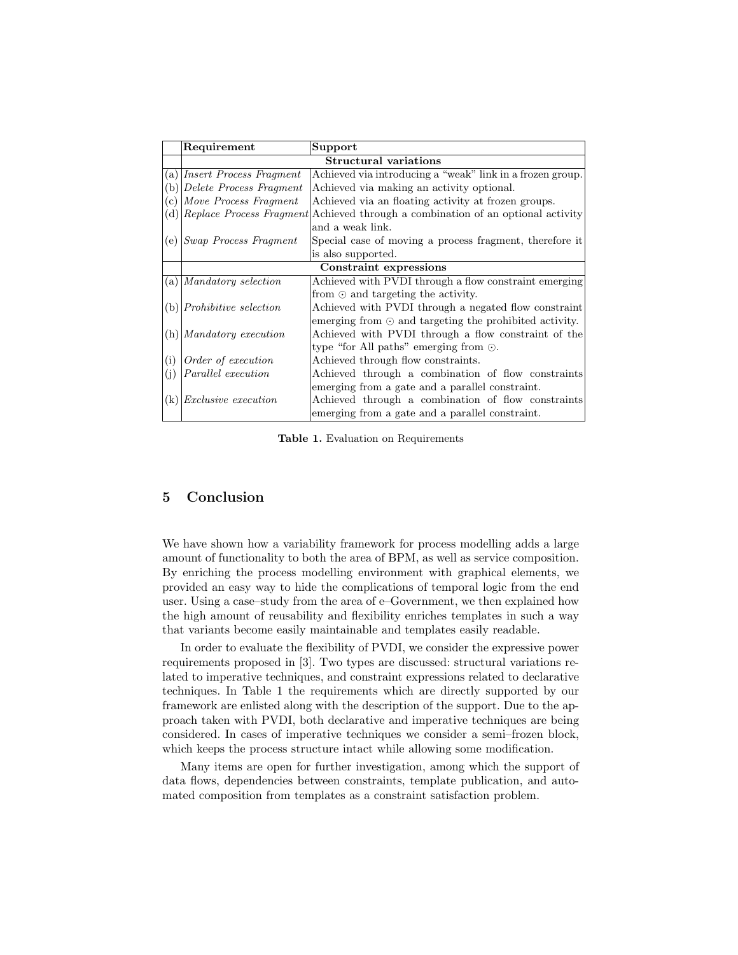|     | Requirement                           | Support                                                      |  |
|-----|---------------------------------------|--------------------------------------------------------------|--|
|     | <b>Structural variations</b>          |                                                              |  |
|     | $(a)$ <i> Insert Process Fragment</i> | Achieved via introducing a "weak" link in a frozen group.    |  |
|     | $(b) $ Delete Process Fragment        | Achieved via making an activity optional.                    |  |
| (c) | Move Process Fragment                 | Achieved via an floating activity at frozen groups.          |  |
|     | $(d)$  Replace Process Fragment       | Achieved through a combination of an optional activity       |  |
|     |                                       | and a weak link.                                             |  |
| (e) | Swap Process Fragment                 | Special case of moving a process fragment, therefore it      |  |
|     |                                       | is also supported.                                           |  |
|     | Constraint expressions                |                                                              |  |
|     | $(a)$ Mandatory selection             | Achieved with PVDI through a flow constraint emerging        |  |
|     |                                       | from $\odot$ and targeting the activity.                     |  |
|     | $(b)$   <i>Prohibitive selection</i>  | Achieved with PVDI through a negated flow constraint         |  |
|     |                                       | emerging from $\odot$ and targeting the prohibited activity. |  |
|     | $(h) $ Mandatory execution            | Achieved with PVDI through a flow constraint of the          |  |
|     |                                       | type "for All paths" emerging from $\odot$ .                 |  |
| (i) | Order of execution                    | Achieved through flow constraints.                           |  |
| (j) | Parallel execution                    | Achieved through a combination of flow constraints           |  |
|     |                                       | emerging from a gate and a parallel constraint.              |  |
| (k) | $ {{\it Exclusive}\; execution}$      | Achieved through a combination of flow constraints           |  |
|     |                                       | emerging from a gate and a parallel constraint.              |  |

Table 1. Evaluation on Requirements

# 5 Conclusion

We have shown how a variability framework for process modelling adds a large amount of functionality to both the area of BPM, as well as service composition. By enriching the process modelling environment with graphical elements, we provided an easy way to hide the complications of temporal logic from the end user. Using a case–study from the area of e–Government, we then explained how the high amount of reusability and flexibility enriches templates in such a way that variants become easily maintainable and templates easily readable.

In order to evaluate the flexibility of PVDI, we consider the expressive power requirements proposed in [3]. Two types are discussed: structural variations related to imperative techniques, and constraint expressions related to declarative techniques. In Table 1 the requirements which are directly supported by our framework are enlisted along with the description of the support. Due to the approach taken with PVDI, both declarative and imperative techniques are being considered. In cases of imperative techniques we consider a semi–frozen block, which keeps the process structure intact while allowing some modification.

Many items are open for further investigation, among which the support of data flows, dependencies between constraints, template publication, and automated composition from templates as a constraint satisfaction problem.